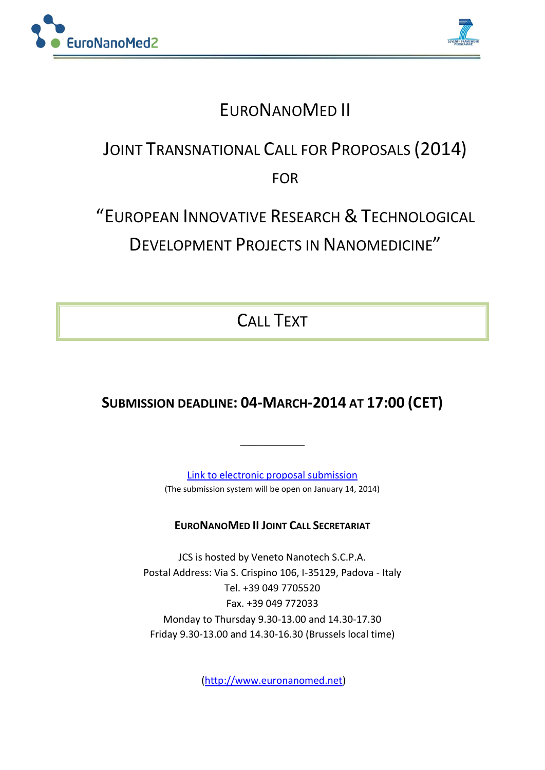



## EURONANOMED II

# JOINT TRANSNATIONAL CALL FOR PROPOSALS (2014) FOR

# "EUROPEAN INNOVATIVE RESEARCH & TECHNOLOGICAL DEVELOPMENT PROJECTS IN NANOMEDICINE"

CALL TEXT

## **SUBMISSION DEADLINE: 04-MARCH-2014 AT 17:00 (CET)**

**\_\_\_\_\_\_\_\_\_**

[Link to electronic proposal submission](https://www.pt-it.de/ptoutline/application/euronanomed2014) (The submission system will be open on January 14, 2014)

## **EURONANOMED II JOINT CALL SECRETARIAT**

JCS is hosted by Veneto Nanotech S.C.P.A. Postal Address: Via S. Crispino 106, I-35129, Padova - Italy Tel. +39 049 7705520 Fax. +39 049 772033 Monday to Thursday 9.30-13.00 and 14.30-17.30 Friday 9.30-13.00 and 14.30-16.30 (Brussels local time)

[\(http://www.euronanomed.net\)](http://www.euronanomed.net/)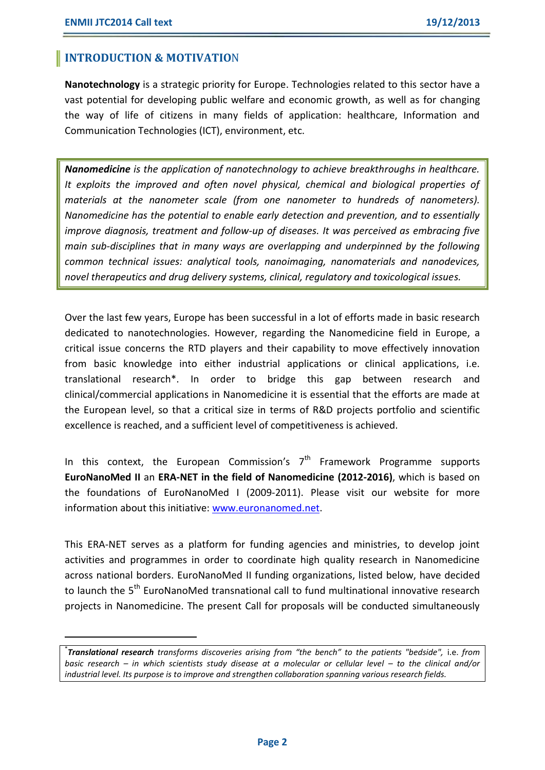**.** 

### **INTRODUCTION & MOTIVATIO**N

**Nanotechnology** is a strategic priority for Europe. Technologies related to this sector have a vast potential for developing public welfare and economic growth, as well as for changing the way of life of citizens in many fields of application: healthcare, Information and Communication Technologies (ICT), environment, etc.

*Nanomedicine is the application of nanotechnology to achieve breakthroughs in healthcare. It exploits the improved and often novel physical, chemical and biological properties of materials at the nanometer scale (from one nanometer to hundreds of nanometers). Nanomedicine has the potential to enable early detection and prevention, and to essentially improve diagnosis, treatment and follow-up of diseases. It was perceived as embracing five main sub-disciplines that in many ways are overlapping and underpinned by the following common technical issues: analytical tools, nanoimaging, nanomaterials and nanodevices, novel therapeutics and drug delivery systems, clinical, regulatory and toxicological issues.*

Over the last few years, Europe has been successful in a lot of efforts made in basic research dedicated to nanotechnologies. However, regarding the Nanomedicine field in Europe, a critical issue concerns the RTD players and their capability to move effectively innovation from basic knowledge into either industrial applications or clinical applications, i.e. translational research\*. In order to bridge this gap between research and clinical/commercial applications in Nanomedicine it is essential that the efforts are made at the European level, so that a critical size in terms of R&D projects portfolio and scientific excellence is reached, and a sufficient level of competitiveness is achieved.

In this context, the European Commission's  $7<sup>th</sup>$  Framework Programme supports **EuroNanoMed II** an **ERA-NET in the field of Nanomedicine (2012-2016)**, which is based on the foundations of EuroNanoMed I (2009-2011). Please visit our website for more information about this initiative: [www.euronanomed.net.](http://www.euronanomed.net/)

This ERA-NET serves as a platform for funding agencies and ministries, to develop joint activities and programmes in order to coordinate high quality research in Nanomedicine across national borders. EuroNanoMed II funding organizations, listed below, have decided to launch the 5<sup>th</sup> EuroNanoMed transnational call to fund multinational innovative research projects in Nanomedicine. The present Call for proposals will be conducted simultaneously

\* *Translational research transforms discoveries arising from "the bench" to the patients "bedside",* i.e. *from basic research – in which scientists study disease at a molecular or cellular level – to the clinical and/or industrial level. Its purpose is to improve and strengthen collaboration spanning various research fields.*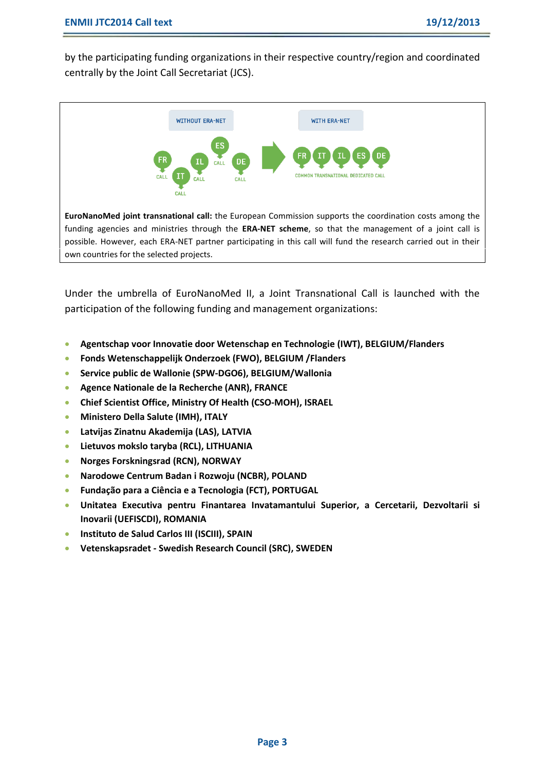by the participating funding organizations in their respective country/region and coordinated centrally by the Joint Call Secretariat (JCS).



own countries for the selected projects.

Under the umbrella of EuroNanoMed II, a Joint Transnational Call is launched with the participation of the following funding and management organizations:

- **Agentschap voor Innovatie door Wetenschap en Technologie (IWT), BELGIUM/Flanders**
- **Fonds Wetenschappelijk Onderzoek (FWO), BELGIUM /Flanders**
- **Service public de Wallonie (SPW-DGO6), BELGIUM/Wallonia**
- **Agence Nationale de la Recherche (ANR), FRANCE**
- **Chief Scientist Office, Ministry Of Health (CSO-MOH), ISRAEL**
- **Ministero Della Salute (IMH), ITALY**
- **Latvijas Zinatnu Akademija (LAS), LATVIA**
- **Lietuvos mokslo taryba (RCL), LITHUANIA**
- **Norges Forskningsrad (RCN), NORWAY**
- **Narodowe Centrum Badan i Rozwoju (NCBR), POLAND**
- **Fundação para a Ciência e a Tecnologia (FCT), PORTUGAL**
- **Unitatea Executiva pentru Finantarea Invatamantului Superior, a Cercetarii, Dezvoltarii si Inovarii (UEFISCDI), ROMANIA**
- **Instituto de Salud Carlos III (ISCIII), SPAIN**
- **Vetenskapsradet - Swedish Research Council (SRC), SWEDEN**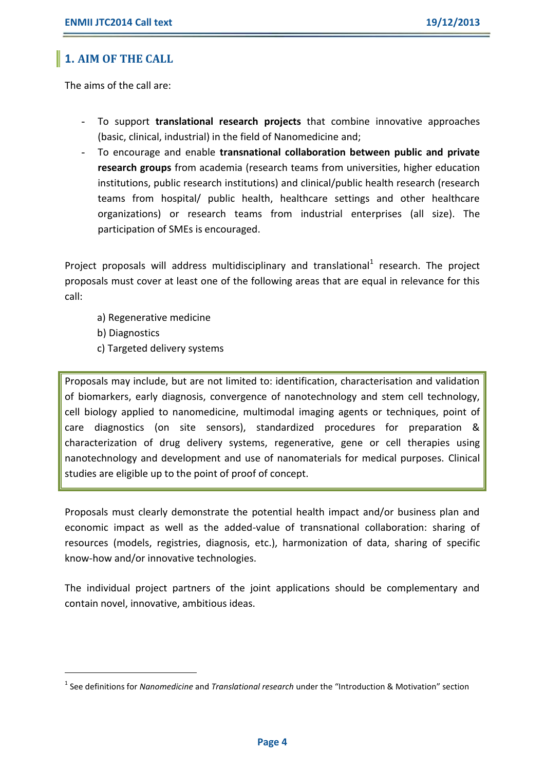## **1. AIM OF THE CALL**

The aims of the call are:

- To support **translational research projects** that combine innovative approaches (basic, clinical, industrial) in the field of Nanomedicine and;
- To encourage and enable **transnational collaboration between public and private research groups** from academia (research teams from universities, higher education institutions, public research institutions) and clinical/public health research (research teams from hospital/ public health, healthcare settings and other healthcare organizations) or research teams from industrial enterprises (all size). The participation of SMEs is encouraged.

Project proposals will address multidisciplinary and translational<sup>1</sup> research. The project proposals must cover at least one of the following areas that are equal in relevance for this call:

- a) Regenerative medicine
- b) Diagnostics

**.** 

c) Targeted delivery systems

Proposals may include, but are not limited to: identification, characterisation and validation of biomarkers, early diagnosis, convergence of nanotechnology and stem cell technology, cell biology applied to nanomedicine, multimodal imaging agents or techniques, point of care diagnostics (on site sensors), standardized procedures for preparation & characterization of drug delivery systems, regenerative, gene or cell therapies using nanotechnology and development and use of nanomaterials for medical purposes. Clinical studies are eligible up to the point of proof of concept.

Proposals must clearly demonstrate the potential health impact and/or business plan and economic impact as well as the added-value of transnational collaboration: sharing of resources (models, registries, diagnosis, etc.), harmonization of data, sharing of specific know-how and/or innovative technologies.

The individual project partners of the joint applications should be complementary and contain novel, innovative, ambitious ideas.

<sup>1</sup> See definitions for *Nanomedicine* and *Translational research* under the "Introduction & Motivation" section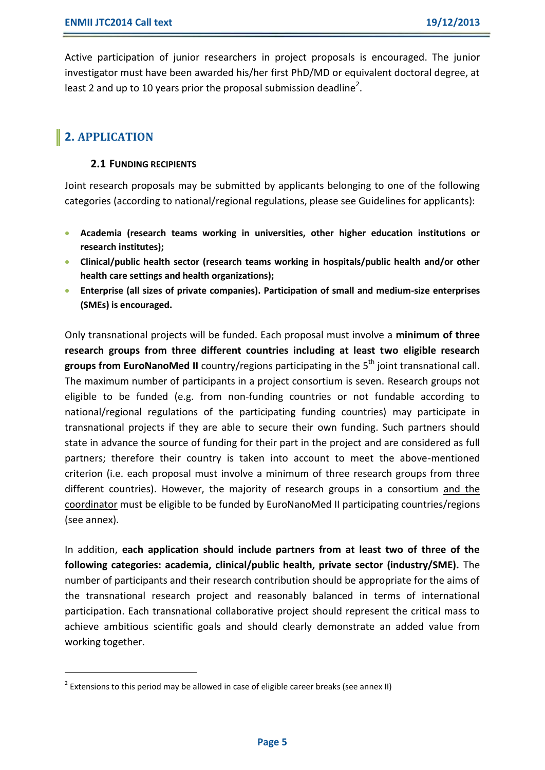Active participation of junior researchers in project proposals is encouraged. The junior investigator must have been awarded his/her first PhD/MD or equivalent doctoral degree, at least 2 and up to 10 years prior the proposal submission deadline<sup>2</sup>.

## **2. APPLICATION**

**.** 

#### **2.1 FUNDING RECIPIENTS**

Joint research proposals may be submitted by applicants belonging to one of the following categories (according to national/regional regulations, please see Guidelines for applicants):

- **Academia (research teams working in universities, other higher education institutions or research institutes);**
- **Clinical/public health sector (research teams working in hospitals/public health and/or other health care settings and health organizations);**
- **Enterprise (all sizes of private companies). Participation of small and medium-size enterprises (SMEs) is encouraged.**

Only transnational projects will be funded. Each proposal must involve a **minimum of three research groups from three different countries including at least two eligible research groups from EuroNanoMed II** country/regions participating in the 5 th joint transnational call. The maximum number of participants in a project consortium is seven. Research groups not eligible to be funded (e.g. from non-funding countries or not fundable according to national/regional regulations of the participating funding countries) may participate in transnational projects if they are able to secure their own funding. Such partners should state in advance the source of funding for their part in the project and are considered as full partners; therefore their country is taken into account to meet the above-mentioned criterion (i.e. each proposal must involve a minimum of three research groups from three different countries). However, the majority of research groups in a consortium and the coordinator must be eligible to be funded by EuroNanoMed II participating countries/regions (see annex).

In addition, **each application should include partners from at least two of three of the following categories: academia, clinical/public health, private sector (industry/SME).** The number of participants and their research contribution should be appropriate for the aims of the transnational research project and reasonably balanced in terms of international participation. Each transnational collaborative project should represent the critical mass to achieve ambitious scientific goals and should clearly demonstrate an added value from working together.

 $^2$  Extensions to this period may be allowed in case of eligible career breaks (see annex II)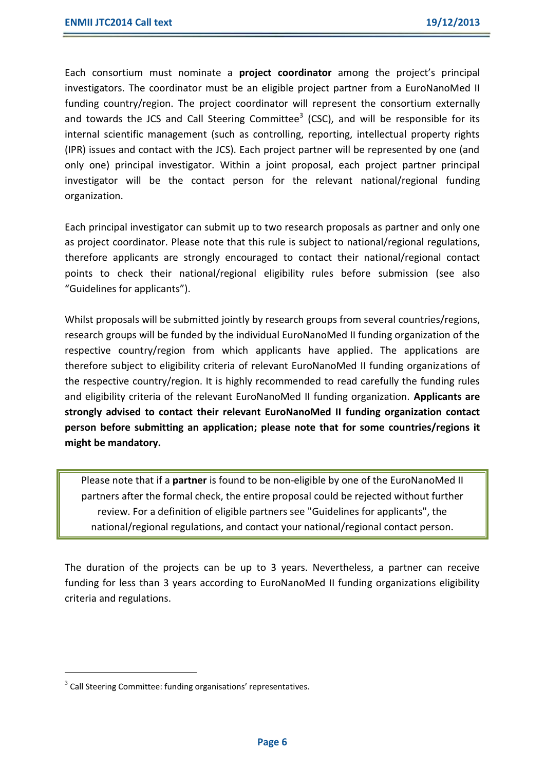Each consortium must nominate a **project coordinator** among the project's principal investigators. The coordinator must be an eligible project partner from a EuroNanoMed II funding country/region. The project coordinator will represent the consortium externally and towards the JCS and Call Steering Committee<sup>3</sup> (CSC), and will be responsible for its internal scientific management (such as controlling, reporting, intellectual property rights (IPR) issues and contact with the JCS). Each project partner will be represented by one (and only one) principal investigator. Within a joint proposal, each project partner principal investigator will be the contact person for the relevant national/regional funding organization.

Each principal investigator can submit up to two research proposals as partner and only one as project coordinator. Please note that this rule is subject to national/regional regulations, therefore applicants are strongly encouraged to contact their national/regional contact points to check their national/regional eligibility rules before submission (see also "Guidelines for applicants").

Whilst proposals will be submitted jointly by research groups from several countries/regions, research groups will be funded by the individual EuroNanoMed II funding organization of the respective country/region from which applicants have applied. The applications are therefore subject to eligibility criteria of relevant EuroNanoMed II funding organizations of the respective country/region. It is highly recommended to read carefully the funding rules and eligibility criteria of the relevant EuroNanoMed II funding organization. **Applicants are strongly advised to contact their relevant EuroNanoMed II funding organization contact person before submitting an application; please note that for some countries/regions it might be mandatory.** 

Please note that if a **partner** is found to be non-eligible by one of the EuroNanoMed II partners after the formal check, the entire proposal could be rejected without further review. For a definition of eligible partners see "Guidelines for applicants", the national/regional regulations, and contact your national/regional contact person.

The duration of the projects can be up to 3 years. Nevertheless, a partner can receive funding for less than 3 years according to EuroNanoMed II funding organizations eligibility criteria and regulations.

**.** 

 $3$  Call Steering Committee: funding organisations' representatives.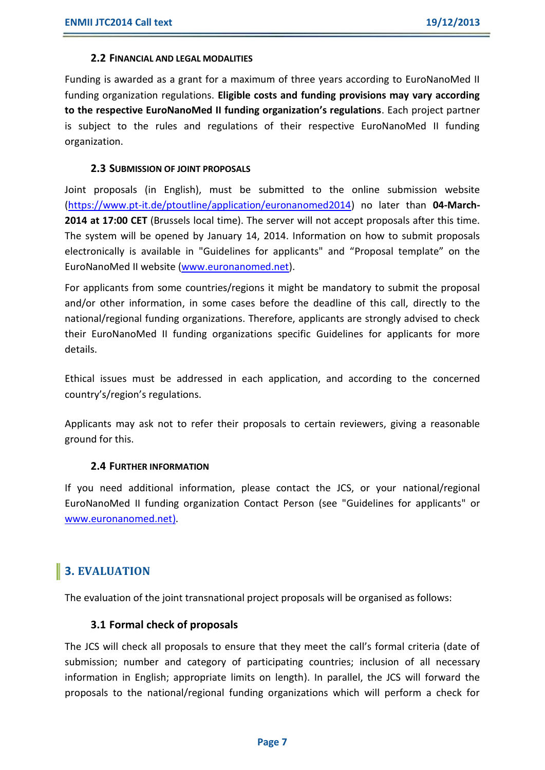#### **2.2 FINANCIAL AND LEGAL MODALITIES**

Funding is awarded as a grant for a maximum of three years according to EuroNanoMed II funding organization regulations. **Eligible costs and funding provisions may vary according to the respective EuroNanoMed II funding organization's regulations**. Each project partner is subject to the rules and regulations of their respective EuroNanoMed II funding organization.

#### **2.3 SUBMISSION OF JOINT PROPOSALS**

Joint proposals (in English), must be submitted to the online submission website [\(https://www.pt-it.de/ptoutline/application/euronanomed2014\)](https://www.pt-it.de/ptoutline/application/euronanomed2014) no later than **04-March-2014 at 17:00 CET** (Brussels local time). The server will not accept proposals after this time. The system will be opened by January 14, 2014. Information on how to submit proposals electronically is available in "Guidelines for applicants" and "Proposal template" on the EuroNanoMed II website [\(www.euronanomed.net\)](http://www.euronanomed.net/).

For applicants from some countries/regions it might be mandatory to submit the proposal and/or other information, in some cases before the deadline of this call, directly to the national/regional funding organizations. Therefore, applicants are strongly advised to check their EuroNanoMed II funding organizations specific Guidelines for applicants for more details.

Ethical issues must be addressed in each application, and according to the concerned country's/region's regulations.

Applicants may ask not to refer their proposals to certain reviewers, giving a reasonable ground for this.

#### **2.4 FURTHER INFORMATION**

If you need additional information, please contact the JCS, or your national/regional EuroNanoMed II funding organization Contact Person (see "Guidelines for applicants" or [www.euronanomed.net\).](file:///d:/users/ibaanante/AppData/Local/Microsoft/Windows/Temporary%20Internet%20Files/Content.Outlook/JLN99GMK/www.euronanomed.net)

## **3. EVALUATION**

The evaluation of the joint transnational project proposals will be organised as follows:

#### **3.1 Formal check of proposals**

The JCS will check all proposals to ensure that they meet the call's formal criteria (date of submission; number and category of participating countries; inclusion of all necessary information in English; appropriate limits on length). In parallel, the JCS will forward the proposals to the national/regional funding organizations which will perform a check for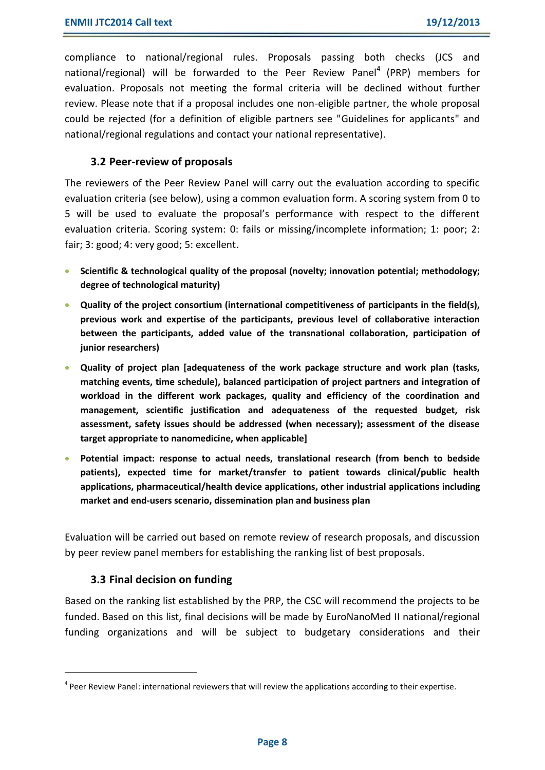compliance to national/regional rules. Proposals passing both checks (JCS and national/regional) will be forwarded to the Peer Review Panel<sup>4</sup> (PRP) members for evaluation. Proposals not meeting the formal criteria will be declined without further review. Please note that if a proposal includes one non-eligible partner, the whole proposal could be rejected (for a definition of eligible partners see "Guidelines for applicants" and national/regional regulations and contact your national representative).

#### **3.2 Peer-review of proposals**

The reviewers of the Peer Review Panel will carry out the evaluation according to specific evaluation criteria (see below), using a common evaluation form. A scoring system from 0 to 5 will be used to evaluate the proposal's performance with respect to the different evaluation criteria. Scoring system: 0: fails or missing/incomplete information; 1: poor; 2: fair; 3: good; 4: very good; 5: excellent.

- **Scientific & technological quality of the proposal (novelty; innovation potential; methodology; degree of technological maturity)**
- **Quality of the project consortium (international competitiveness of participants in the field(s), previous work and expertise of the participants, previous level of collaborative interaction between the participants, added value of the transnational collaboration, participation of junior researchers)**
- **Quality of project plan [adequateness of the work package structure and work plan (tasks, matching events, time schedule), balanced participation of project partners and integration of workload in the different work packages, quality and efficiency of the coordination and management, scientific justification and adequateness of the requested budget, risk assessment, safety issues should be addressed (when necessary); assessment of the disease target appropriate to nanomedicine, when applicable]**
- **Potential impact: response to actual needs, translational research (from bench to bedside patients), expected time for market/transfer to patient towards clinical/public health applications, pharmaceutical/health device applications, other industrial applications including market and end-users scenario, dissemination plan and business plan**

Evaluation will be carried out based on remote review of research proposals, and discussion by peer review panel members for establishing the ranking list of best proposals.

#### **3.3 Final decision on funding**

**.** 

Based on the ranking list established by the PRP, the CSC will recommend the projects to be funded. Based on this list, final decisions will be made by EuroNanoMed II national/regional funding organizations and will be subject to budgetary considerations and their

<sup>&</sup>lt;sup>4</sup> Peer Review Panel: international reviewers that will review the applications according to their expertise.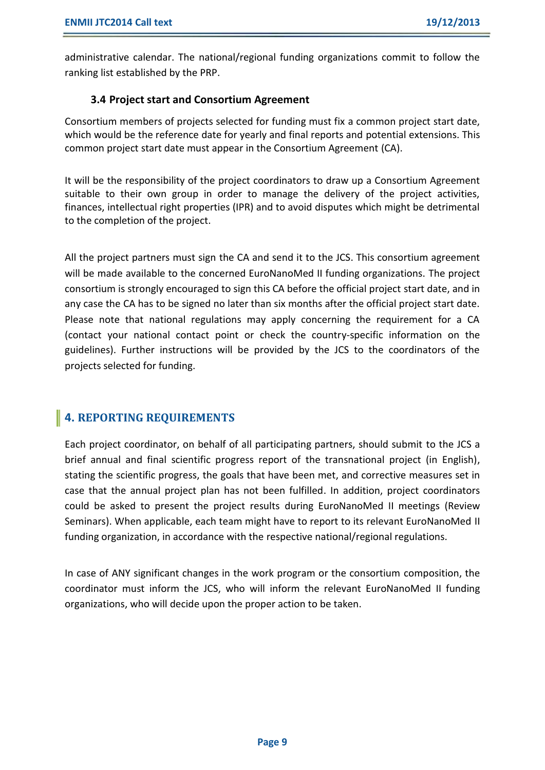administrative calendar. The national/regional funding organizations commit to follow the ranking list established by the PRP.

#### **3.4 Project start and Consortium Agreement**

Consortium members of projects selected for funding must fix a common project start date, which would be the reference date for yearly and final reports and potential extensions. This common project start date must appear in the Consortium Agreement (CA).

It will be the responsibility of the project coordinators to draw up a Consortium Agreement suitable to their own group in order to manage the delivery of the project activities, finances, intellectual right properties (IPR) and to avoid disputes which might be detrimental to the completion of the project.

All the project partners must sign the CA and send it to the JCS. This consortium agreement will be made available to the concerned EuroNanoMed II funding organizations. The project consortium is strongly encouraged to sign this CA before the official project start date, and in any case the CA has to be signed no later than six months after the official project start date. Please note that national regulations may apply concerning the requirement for a CA (contact your national contact point or check the country-specific information on the guidelines). Further instructions will be provided by the JCS to the coordinators of the projects selected for funding.

## **4. REPORTING REQUIREMENTS**

Each project coordinator, on behalf of all participating partners, should submit to the JCS a brief annual and final scientific progress report of the transnational project (in English), stating the scientific progress, the goals that have been met, and corrective measures set in case that the annual project plan has not been fulfilled. In addition, project coordinators could be asked to present the project results during EuroNanoMed II meetings (Review Seminars). When applicable, each team might have to report to its relevant EuroNanoMed II funding organization, in accordance with the respective national/regional regulations.

In case of ANY significant changes in the work program or the consortium composition, the coordinator must inform the JCS, who will inform the relevant EuroNanoMed II funding organizations, who will decide upon the proper action to be taken.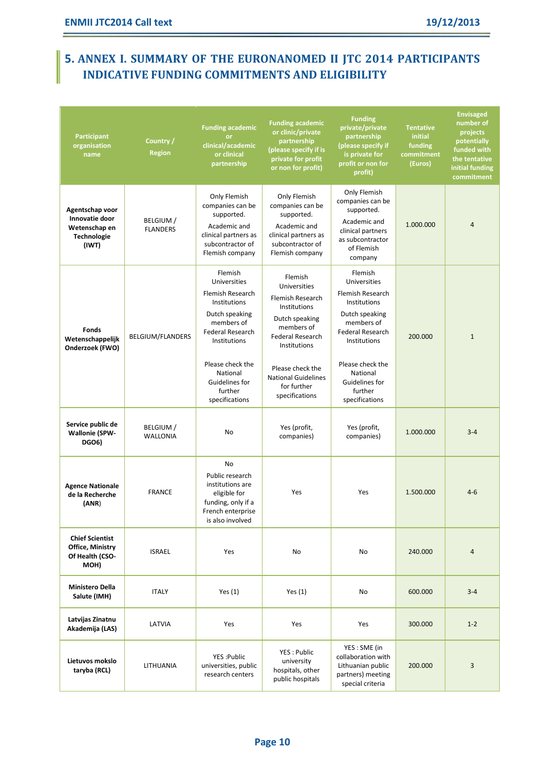## **5. ANNEX I. SUMMARY OF THE EURONANOMED II JTC 2014 PARTICIPANTS INDICATIVE FUNDING COMMITMENTS AND ELIGIBILITY**

| <b>Participant</b><br>organisation<br>name                                 | Country /<br><b>Region</b>   | <b>Funding academic</b><br><b>or</b><br>clinical/academic<br>or clinical<br>partnership                                                                                                                                      | <b>Funding academic</b><br>or clinic/private<br>partnership<br>(please specify if is<br>private for profit<br>or non for profit)                                                                                          | <b>Funding</b><br>private/private<br>partnership<br>(please specify if<br>is private for<br>profit or non for<br>profit)                                                                                                     | <b>Tentative</b><br>initial<br>funding<br>commitment<br>(Euros) | <b>Envisaged</b><br>number of<br>projects<br>potentially<br>funded with<br>the tentative<br>initial funding<br>commitment |
|----------------------------------------------------------------------------|------------------------------|------------------------------------------------------------------------------------------------------------------------------------------------------------------------------------------------------------------------------|---------------------------------------------------------------------------------------------------------------------------------------------------------------------------------------------------------------------------|------------------------------------------------------------------------------------------------------------------------------------------------------------------------------------------------------------------------------|-----------------------------------------------------------------|---------------------------------------------------------------------------------------------------------------------------|
| Agentschap voor<br>Innovatie door<br>Wetenschap en<br>Technologie<br>(IWT) | BELGIUM /<br><b>FLANDERS</b> | Only Flemish<br>companies can be<br>supported.<br>Academic and<br>clinical partners as<br>subcontractor of<br>Flemish company                                                                                                | Only Flemish<br>companies can be<br>supported.<br>Academic and<br>clinical partners as<br>subcontractor of<br>Flemish company                                                                                             | Only Flemish<br>companies can be<br>supported.<br>Academic and<br>clinical partners<br>as subcontractor<br>of Flemish<br>company                                                                                             | 1.000.000                                                       | $\overline{4}$                                                                                                            |
| <b>Fonds</b><br>Wetenschappelijk<br>Onderzoek (FWO)                        | BELGIUM/FLANDERS             | Flemish<br>Universities<br><b>Flemish Research</b><br>Institutions<br>Dutch speaking<br>members of<br><b>Federal Research</b><br>Institutions<br>Please check the<br>National<br>Guidelines for<br>further<br>specifications | Flemish<br>Universities<br>Flemish Research<br>Institutions<br>Dutch speaking<br>members of<br><b>Federal Research</b><br>Institutions<br>Please check the<br><b>National Guidelines</b><br>for further<br>specifications | Flemish<br>Universities<br><b>Flemish Research</b><br>Institutions<br>Dutch speaking<br>members of<br><b>Federal Research</b><br>Institutions<br>Please check the<br>National<br>Guidelines for<br>further<br>specifications | 200.000                                                         | $\mathbf{1}$                                                                                                              |
| Service public de<br><b>Wallonie (SPW-</b><br><b>DGO6)</b>                 | BELGIUM /<br><b>WALLONIA</b> | <b>No</b>                                                                                                                                                                                                                    | Yes (profit,<br>companies)                                                                                                                                                                                                | Yes (profit,<br>companies)                                                                                                                                                                                                   | 1.000.000                                                       | $3 - 4$                                                                                                                   |
| <b>Agence Nationale</b><br>de la Recherche<br>(ANR)                        | <b>FRANCE</b>                | <b>No</b><br>Public research<br>institutions are<br>eligible for<br>funding, only if a<br>French enterprise<br>is also involved                                                                                              | Yes                                                                                                                                                                                                                       | Yes                                                                                                                                                                                                                          | 1.500.000                                                       | $4 - 6$                                                                                                                   |
| <b>Chief Scientist</b><br>Office, Ministry<br>Of Health (CSO-<br>MOH)      | <b>ISRAEL</b>                | Yes                                                                                                                                                                                                                          | No                                                                                                                                                                                                                        | No                                                                                                                                                                                                                           | 240.000                                                         | 4                                                                                                                         |
| <b>Ministero Della</b><br>Salute (IMH)                                     | <b>ITALY</b>                 | Yes $(1)$                                                                                                                                                                                                                    | Yes $(1)$                                                                                                                                                                                                                 | No                                                                                                                                                                                                                           | 600.000                                                         | $3 - 4$                                                                                                                   |
| Latvijas Zinatnu<br>Akademija (LAS)                                        | LATVIA                       | Yes                                                                                                                                                                                                                          | Yes                                                                                                                                                                                                                       | Yes                                                                                                                                                                                                                          | 300.000                                                         | $1 - 2$                                                                                                                   |
| Lietuvos mokslo<br>taryba (RCL)                                            | LITHUANIA                    | YES: Public<br>universities, public<br>research centers                                                                                                                                                                      | YES: Public<br>university<br>hospitals, other<br>public hospitals                                                                                                                                                         | YES: SME (in<br>collaboration with<br>Lithuanian public<br>partners) meeting<br>special criteria                                                                                                                             | 200.000                                                         | 3                                                                                                                         |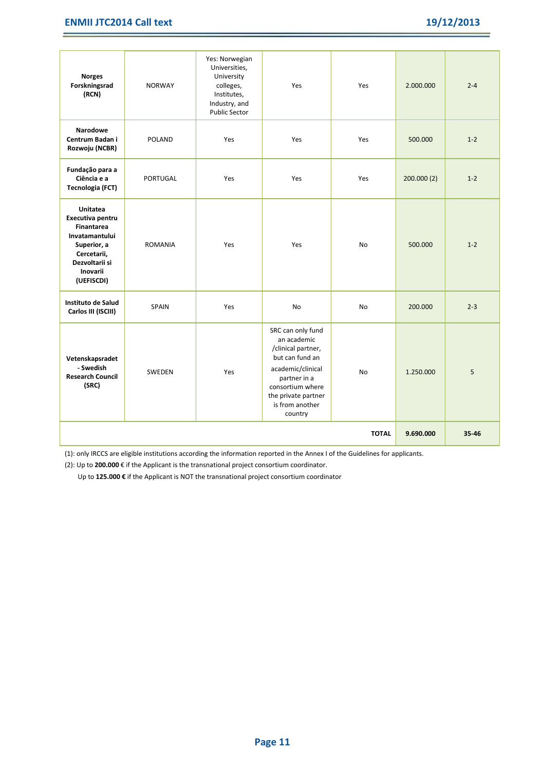#### **ENMII JTC2014 Call text 19/12/2013**

| <b>Norges</b><br>Forskningsrad<br>(RCN)                                                                                                       | <b>NORWAY</b>   | Yes: Norwegian<br>Universities,<br>University<br>colleges,<br>Institutes,<br>Industry, and<br><b>Public Sector</b> | Yes                                                                                                                                                                                     | Yes       | 2.000.000  | $2 - 4$ |
|-----------------------------------------------------------------------------------------------------------------------------------------------|-----------------|--------------------------------------------------------------------------------------------------------------------|-----------------------------------------------------------------------------------------------------------------------------------------------------------------------------------------|-----------|------------|---------|
| <b>Narodowe</b><br>Centrum Badan i<br>Rozwoju (NCBR)                                                                                          | <b>POLAND</b>   | Yes                                                                                                                | Yes                                                                                                                                                                                     | Yes       | 500.000    | $1 - 2$ |
| Fundação para a<br>Ciência e a<br><b>Tecnologia (FCT)</b>                                                                                     | <b>PORTUGAL</b> | Yes                                                                                                                | Yes                                                                                                                                                                                     | Yes       | 200.000(2) | $1 - 2$ |
| Unitatea<br>Executiva pentru<br><b>Finantarea</b><br>Invatamantului<br>Superior, a<br>Cercetarii,<br>Dezvoltarii si<br>Inovarii<br>(UEFISCDI) | <b>ROMANIA</b>  | Yes                                                                                                                | Yes                                                                                                                                                                                     | <b>No</b> | 500.000    | $1 - 2$ |
| Instituto de Salud<br>Carlos III (ISCIII)                                                                                                     | <b>SPAIN</b>    | Yes                                                                                                                | N <sub>0</sub>                                                                                                                                                                          | <b>No</b> | 200.000    | $2 - 3$ |
| Vetenskapsradet<br>- Swedish<br><b>Research Council</b><br>(SRC)                                                                              | <b>SWEDEN</b>   | Yes                                                                                                                | SRC can only fund<br>an academic<br>/clinical partner,<br>but can fund an<br>academic/clinical<br>partner in a<br>consortium where<br>the private partner<br>is from another<br>country | <b>No</b> | 1.250.000  | 5       |
| <b>TOTAL</b>                                                                                                                                  |                 |                                                                                                                    |                                                                                                                                                                                         |           |            | 35-46   |

(1): only IRCCS are eligible institutions according the information reported in the Annex I of the Guidelines for applicants.

(2): Up to **200.000** € if the Applicant is the transnational project consortium coordinator.

Up to **125.000 €** if the Applicant is NOT the transnational project consortium coordinator